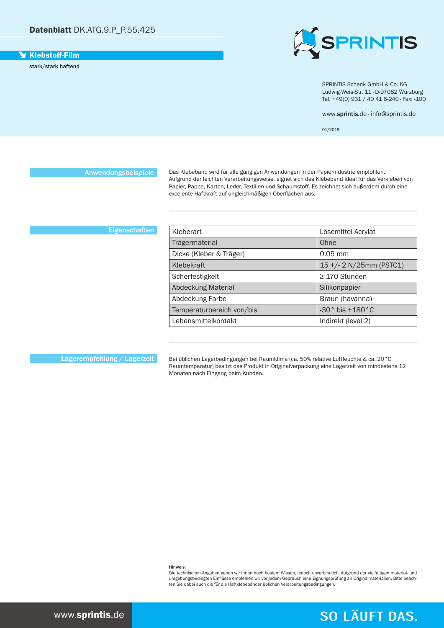### **Y** Klebstoff-Film

stark/stark haftend



SPRINTIS Schenk GmbH & Co. KG Ludwig-Weis-Str. 11 · D-97082 Würzburg Tel. +49(0) 931 / 40 41 6-240 · Fax: -100

www.sprintis.de · info@sprintis.de

01/2019

Anwendungsbeispiele

Das Klebeband wird für alle gängigen Anwendungen in der Papierindustrie empfohlen. Aufgrund der leichten Verarbeitungsweise, eignet sich das Klebeband ideal für das Verkleben von Papier, Pappe, Karton, Leder, Textilien und Schaumstoff. Es zeichnet sich außerdem durch eine excelente Haftkraft auf ungleichmäßigen Oberflächen aus.

## **Eigenschaften**

| Kleberart                 | Lösemittel Acrylat             |
|---------------------------|--------------------------------|
| Trägermaterial            | Ohne                           |
| Dicke (Kleber & Träger)   | $0.05$ mm                      |
| Klebekraft                | 15 +/- 2 N/25mm (PSTC1)        |
| Scherfestigkeit           | $\geq$ 170 Stunden             |
| <b>Abdeckung Material</b> | Silikonpapier                  |
| Abdeckung Farbe           | Braun (havanna)                |
| Temperaturbereich von/bis | $-30^\circ$ bis $+180^\circ$ C |
| Lebensmittelkontakt       | Indirekt (level 2)             |

Lagerempfehlung / Lagerzeit

Bei üblichen Lagerbedingungen bei Raumklima (ca. 50% relative Luftfeuchte & ca. 20°C Raumtemperatur) besitzt das Produkt in Originalverpackung eine Lagerzeit von mindestens 12 Monaten nach Eingang beim Kunden.

Hinweis:

Die technischen Angaben geben wir Ihnen nach bestem Wissen, jedoch unverbindlich. Aufgrund der vielfältigen material- und<br>umgebungsbedingten Einflüsse empfehlen wir vor jedem Gebrauch eine Eignungsprüfung an Originalmateri dingsbedingbedingten Einnasse emplemen im Terrjeden des dabei eine Eignangspreiten Sie dabei auch die für die Haftklebebänder üblichen Verarbeitungsbedingungen.

# **SO LÄUFT DAS.**